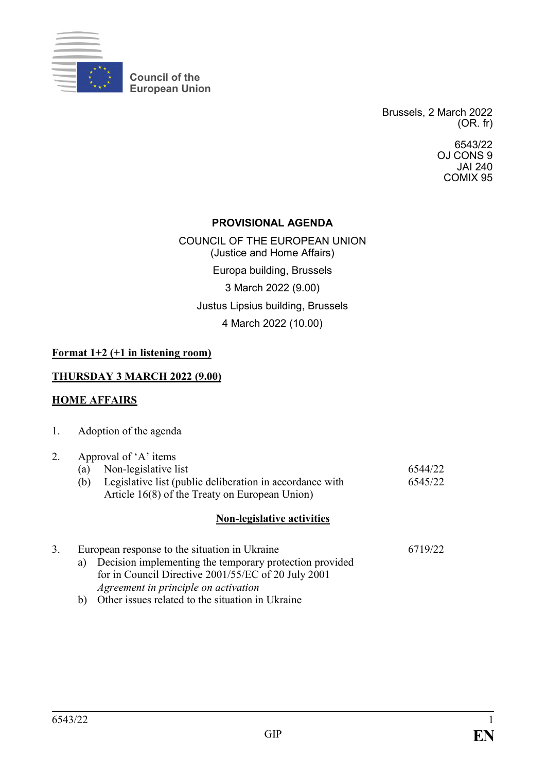

**Council of the European Union**

> Brussels, 2 March 2022 (OR. fr)

> > 6543/22 OJ CONS 9 JAI 240 COMIX 95

#### **PROVISIONAL AGENDA**

COUNCIL OF THE EUROPEAN UNION (Justice and Home Affairs) Europa building, Brussels 3 March 2022 (9.00) Justus Lipsius building, Brussels 4 March 2022 (10.00)

#### **Format 1+2 (+1 in listening room)**

#### **THURSDAY 3 MARCH 2022 (9.00)**

#### **HOME AFFAIRS**

| 1. | Adoption of the agenda |  |
|----|------------------------|--|
|----|------------------------|--|

#### 2. Approval of 'A' items (a) Non-legislative list 6544/22

(b) Legislative list (public deliberation in accordance with Article 16(8) of the Treaty on European Union) 6545/22

#### **Non-legislative activities**

| 3. | European response to the situation in Ukraine |                                                         | 6719/22 |
|----|-----------------------------------------------|---------------------------------------------------------|---------|
|    | a)                                            | Decision implementing the temporary protection provided |         |
|    |                                               | for in Council Directive 2001/55/EC of 20 July 2001     |         |
|    |                                               | Agreement in principle on activation                    |         |
|    | b)                                            | Other issues related to the situation in Ukraine        |         |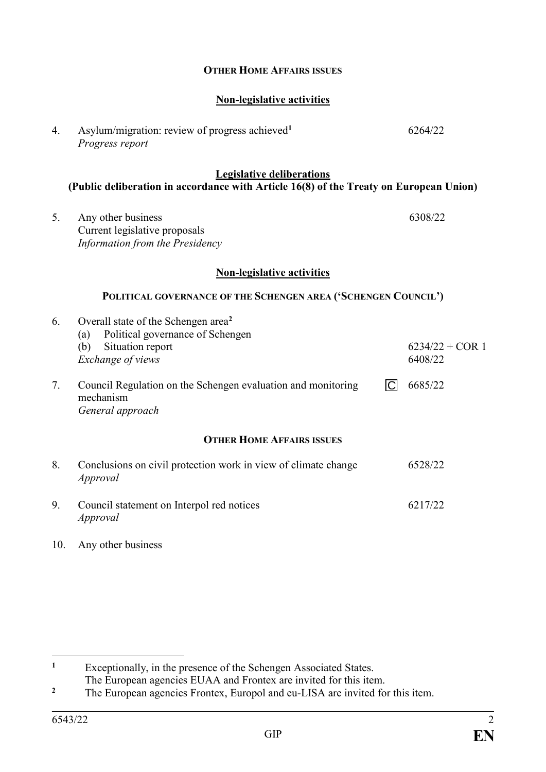| <b>Legislative deliberations</b><br>(Public deliberation in accordance with Article 16(8) of the Treaty on European Union) |                                                                                                                                            |                              |  |  |  |  |
|----------------------------------------------------------------------------------------------------------------------------|--------------------------------------------------------------------------------------------------------------------------------------------|------------------------------|--|--|--|--|
| 5.                                                                                                                         | Any other business<br>Current legislative proposals<br>Information from the Presidency                                                     | 6308/22                      |  |  |  |  |
|                                                                                                                            | <b>Non-legislative activities</b>                                                                                                          |                              |  |  |  |  |
| POLITICAL GOVERNANCE OF THE SCHENGEN AREA ('SCHENGEN COUNCIL')                                                             |                                                                                                                                            |                              |  |  |  |  |
| 6.                                                                                                                         | Overall state of the Schengen area <sup>2</sup><br>Political governance of Schengen<br>(a)<br>Situation report<br>(b)<br>Exchange of views | $6234/22 + COR$ 1<br>6408/22 |  |  |  |  |
| 7 <sub>1</sub>                                                                                                             | $\Box$<br>Council Regulation on the Schengen evaluation and monitoring<br>mechanism<br>General approach                                    | 6685/22                      |  |  |  |  |
| <b>OTHER HOME AFFAIRS ISSUES</b>                                                                                           |                                                                                                                                            |                              |  |  |  |  |
| 8.                                                                                                                         | Conclusions on civil protection work in view of climate change<br>Approval                                                                 | 6528/22                      |  |  |  |  |
| 9.                                                                                                                         | Council statement on Interpol red notices<br>Approval                                                                                      | 6217/22                      |  |  |  |  |

**OTHER HOME AFFAIRS ISSUES**

**Non-legislative activities**

6264/22

4. Asylum/migration: review of progress achieved**<sup>1</sup>**

*Progress report*

10. Any other business

 $\mathbf{1}$ **<sup>1</sup>** Exceptionally, in the presence of the Schengen Associated States.

The European agencies EUAA and Frontex are invited for this item.

<sup>&</sup>lt;sup>2</sup> The European agencies Frontex, Europol and eu-LISA are invited for this item.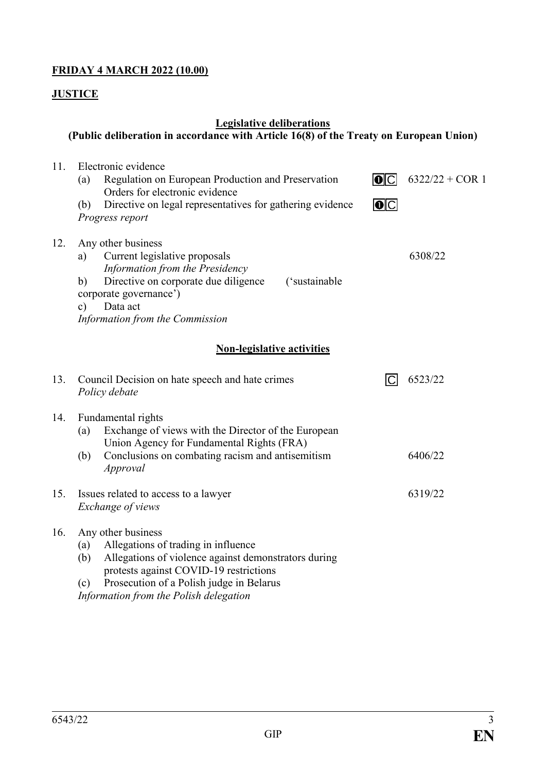# **FRIDAY 4 MARCH 2022 (10.00)**

## **JUSTICE**

# **Legislative deliberations**

# **(Public deliberation in accordance with Article 16(8) of the Treaty on European Union)**

| 11. | Electronic evidence                                                                                                                                                                                                                                                    |     |                   |  |  |  |  |
|-----|------------------------------------------------------------------------------------------------------------------------------------------------------------------------------------------------------------------------------------------------------------------------|-----|-------------------|--|--|--|--|
|     | Regulation on European Production and Preservation<br>(a)<br>Orders for electronic evidence                                                                                                                                                                            | O C | $6322/22 + COR$ 1 |  |  |  |  |
|     | Directive on legal representatives for gathering evidence<br>(b)<br>Progress report                                                                                                                                                                                    | 0   |                   |  |  |  |  |
| 12. | Any other business<br>Current legislative proposals<br>a)<br>Information from the Presidency<br>Directive on corporate due diligence<br>('sustainable<br>b)<br>corporate governance')<br>Data act<br>$\mathbf{c})$<br>Information from the Commission                  |     | 6308/22           |  |  |  |  |
|     | <b>Non-legislative activities</b>                                                                                                                                                                                                                                      |     |                   |  |  |  |  |
| 13. | Council Decision on hate speech and hate crimes<br>Policy debate                                                                                                                                                                                                       | ICI | 6523/22           |  |  |  |  |
| 14. | Fundamental rights<br>Exchange of views with the Director of the European<br>(a)<br>Union Agency for Fundamental Rights (FRA)                                                                                                                                          |     |                   |  |  |  |  |
|     | Conclusions on combating racism and antisemitism<br>(b)<br>Approval                                                                                                                                                                                                    |     | 6406/22           |  |  |  |  |
| 15. | Issues related to access to a lawyer<br>Exchange of views                                                                                                                                                                                                              |     | 6319/22           |  |  |  |  |
| 16. | Any other business<br>Allegations of trading in influence<br>(a)<br>Allegations of violence against demonstrators during<br>(b)<br>protests against COVID-19 restrictions<br>Prosecution of a Polish judge in Belarus<br>(c)<br>Information from the Polish delegation |     |                   |  |  |  |  |